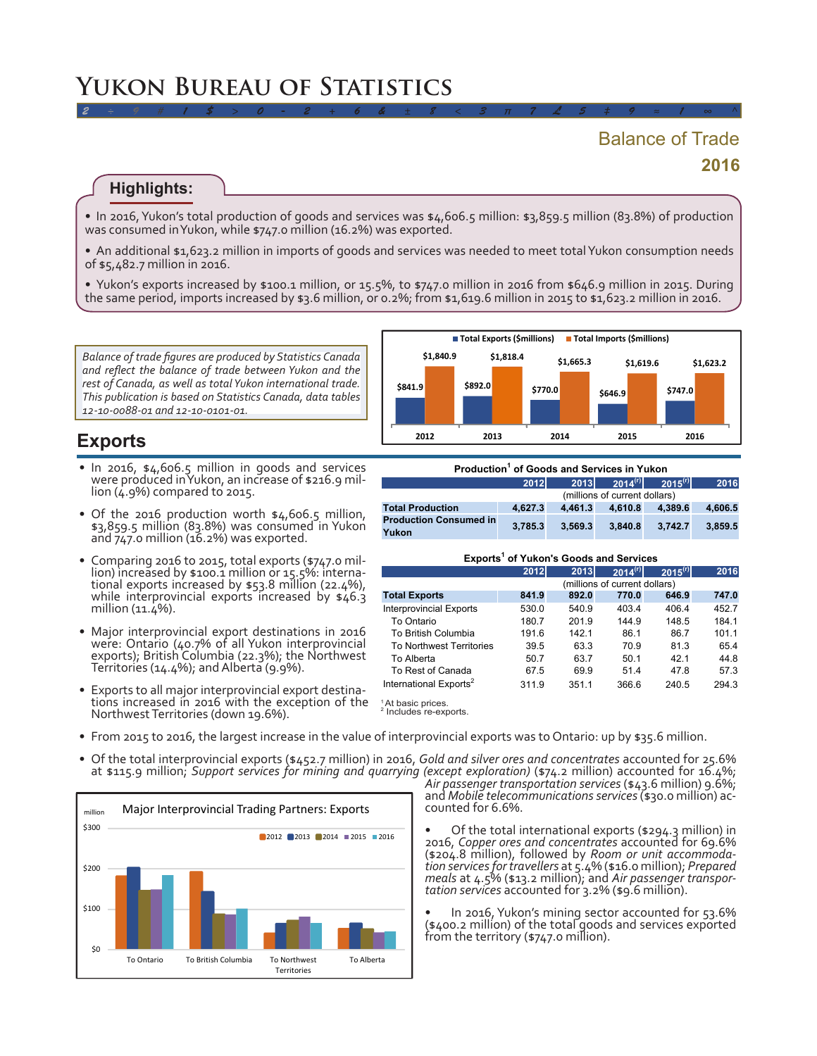# **2016** Balance of Trade

#### **Highlights:**

• In 2016, Yukon's total production of goods and services was  $\frac{1}{4}$ ,606.5 million:  $\frac{1}{3}$ ,859.5 million (83.8%) of production was consumed inYukon, while \$747.0 million (16.2%) was exported.

*2 ÷ 9 # 1 \$ > 0 - 2 + 6 & ± 8 < 3 π 7 £ 5 ‡ 9 ≈ 1 ∞ ^*

• An additional \$1,623.2 million in imports of goods and services was needed to meet total Yukon consumption needs of \$5,482.7 million in 2016.

• Yukon's exports increased by \$100.1 million, or 15.5%, to \$747.0 million in 2016 from \$646.9 million in 2015. During the same period, imports increased by \$3.6 million, or 0.2%; from \$1,619.6 million in 2015 to \$1,623.2 million in 2016.

*Balance of trade figures are produced by Statistics Canada and reflect the balance of trade between Yukon and the rest of Canada, as well as total Yukon international trade. This publication is based on Statistics Canada, data tables 12-10-0088-01 and 12-10-0101-01.*

## **Exports**

- In 2016, \$4,606.5 million in goods and services were produced inYukon, an increase of \$216.9 mil-<br>lion (4.9%) compared to 2015.
- Of the 2016 production worth \$4,606.5 million, \$3,859.5 million (83.8%) was consumed in Yukon and 747.0 million (16.2%) was exported.
- Comparing 2016 to 2015, total exports (\$747.0 million) increased by \$100.1 million or 15.5%: international exports increased by \$53.8 million (22.4%), while interprovincial exports increased by \$46.3 million (11.4%).
- Major interprovincial export destinations in 2016 were: Ontario (40.7% of all Yukon interprovincial exports); British Columbia (22.3%); the Northwest Territories (14.4%); andAlberta (9.9%).
- • <sup>E</sup>xports to all major interprovincial export destina- tions increased in <sup>2016</sup> with the exception of the NorthwestTerritories (down 19.6%).



| Production <sup>1</sup> of Goods and Services in Yukon |                               |         |                     |              |         |  |
|--------------------------------------------------------|-------------------------------|---------|---------------------|--------------|---------|--|
|                                                        | 2012                          |         | $2013$ $2014^{(r)}$ | $2015^{(r)}$ | 2016    |  |
|                                                        | (millions of current dollars) |         |                     |              |         |  |
| <b>Total Production</b>                                | 4.627.3                       | 4.461.3 | 4.610.8             | 4.389.6      | 4.606.5 |  |
| <b>Production Consumed in</b><br>Yukon                 | 3.785.3                       | 3.569.3 | 3.840.8             | 3.742.7      | 3.859.5 |  |

#### **Exports<sup>1</sup> of Yukon's Goods and Services**

|                                    | 2012                          | 2013  | $2014^{(r)}$ | $2015^{(r)}$ | 2016  |  |
|------------------------------------|-------------------------------|-------|--------------|--------------|-------|--|
|                                    | (millions of current dollars) |       |              |              |       |  |
| <b>Total Exports</b>               | 841.9                         | 892.0 | 770.0        | 646.9        | 747.0 |  |
| <b>Interprovincial Exports</b>     | 530.0                         | 540.9 | 403.4        | 406.4        | 452.7 |  |
| To Ontario                         | 180.7                         | 201.9 | 144.9        | 148.5        | 184.1 |  |
| To British Columbia                | 191.6                         | 142.1 | 86.1         | 86.7         | 101.1 |  |
| <b>To Northwest Territories</b>    | 39.5                          | 63.3  | 70.9         | 81.3         | 65.4  |  |
| To Alberta                         | 50.7                          | 63.7  | 50.1         | 42.1         | 44.8  |  |
| To Rest of Canada                  | 67.5                          | 69.9  | 51.4         | 47.8         | 57.3  |  |
| International Exports <sup>2</sup> | 311.9                         | 351.1 | 366.6        | 240.5        | 294.3 |  |

<sup>1</sup>At basic prices.<br><sup>2</sup> Includes re-exr Includes re-exports.

- From 2015 to 2016, the largest increase in the value of interprovincial exports was to Ontario: up by \$35.6 million.
- • Of the total interprovincial exports (\$452.7 million) in 2016, *Gold and silver ores and concentrates* accounted for 25.6% at \$115.9 million; *Support services for mining and quarrying (except exploration)* (\$74.2 million) accounted for 16.4%;



*Air passenger transportation services* (\$43.6 million) 9.6%; and *Mobile telecommunications services*(\$30.0 million) ac- counted for 6.6%.

• Of the total international exports (\$294.3 million) in 2016, *Copper ores and concentrates* accounted for 69.6% (\$204.8 million), followed by *Room or unit accommodation services for travellers* at  $5.4\%$  (\$16.0 million); *Prepared meals* at  $4.5\%$  (\$13.2 million); and *Air passenger transportation services* accounted for  $3.2\%$ 

In 2016, Yukon's mining sector accounted for 53.6% (\$400.2 million) of the total goods and services exported from the territory (\$747.0 million).